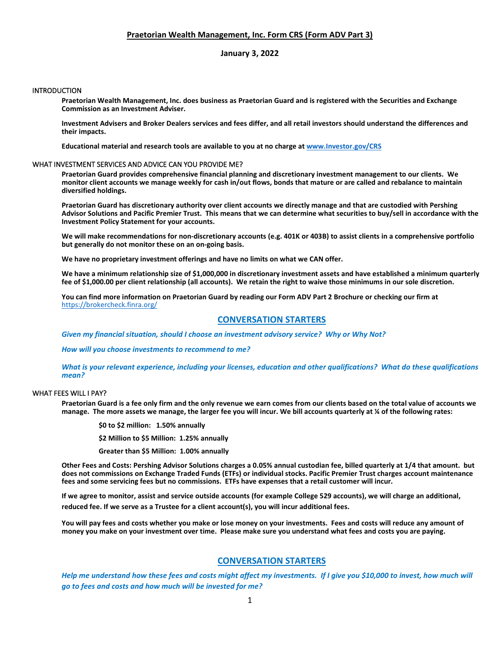# **Praetorian Wealth Management, Inc. Form CRS (Form ADV Part 3)**

# **January 3, 2022**

### INTRODUCTION

**Praetorian Wealth Management, Inc. does business as Praetorian Guard and is registered with the Securities and Exchange Commission as an Investment Adviser.**

**Investment Advisers and Broker Dealers services and fees differ, and all retail investors should understand the differences and their impacts.**

**Educational material and research tools are available to you at no charge a[t www.Investor.gov/CRS](http://www.investor.gov/CRS)**

#### WHAT INVESTMENT SERVICES AND ADVICE CAN YOU PROVIDE ME?

**Praetorian Guard provides comprehensive financial planning and discretionary investment management to our clients. We monitor client accounts we manage weekly for cash in/out flows, bonds that mature or are called and rebalance to maintain diversified holdings.**

**Praetorian Guard has discretionary authority over client accounts we directly manage and that are custodied with Pershing Advisor Solutions and Pacific Premier Trust. This means that we can determine what securities to buy/sell in accordance with the Investment Policy Statement for your accounts.**

**We will make recommendations for non-discretionary accounts (e.g. 401K or 403B) to assist clients in a comprehensive portfolio but generally do not monitor these on an on-going basis.**

**We have no proprietary investment offerings and have no limits on what we CAN offer.**

**We have a minimum relationship size of \$1,000,000 in discretionary investment assets and have established a minimum quarterly fee of \$1,000.00 per client relationship (all accounts). We retain the right to waive those minimums in our sole discretion.**

**You can find more information on Praetorian Guard by reading our Form ADV Part 2 Brochure or checking our firm at**  <https://brokercheck.finra.org/>

# **CONVERSATION STARTERS**

*Given my financial situation, should I choose an investment advisory service? Why or Why Not?*

*How will you choose investments to recommend to me?*

*What is your relevant experience, including your licenses, education and other qualifications? What do these qualifications mean?*

### WHAT FEES WILL I PAY?

**Praetorian Guard is a fee only firm and the only revenue we earn comes from our clients based on the total value of accounts we manage. The more assets we manage, the larger fee you will incur. We bill accounts quarterly at ¼ of the following rates:**

**\$0 to \$2 million: 1.50% annually**

**\$2 Million to \$5 Million: 1.25% annually**

**Greater than \$5 Million: 1.00% annually**

**Other Fees and Costs: Pershing Advisor Solutions charges a 0.05% annual custodian fee, billed quarterly at 1/4 that amount. but does not commissions on Exchange Traded Funds (ETFs) or individual stocks. Pacific Premier Trust charges account maintenance fees and some servicing fees but no commissions. ETFs have expenses that a retail customer will incur.** 

**If we agree to monitor, assist and service outside accounts (for example College 529 accounts), we will charge an additional, reduced fee. If we serve as a Trustee for a client account(s), you will incur additional fees.**

**You will pay fees and costs whether you make or lose money on your investments. Fees and costs will reduce any amount of money you make on your investment over time. Please make sure you understand what fees and costs you are paying.**

# **CONVERSATION STARTERS**

*Help me understand how these fees and costs might affect my investments. If I give you \$10,000 to invest, how much will go to fees and costs and how much will be invested for me?*